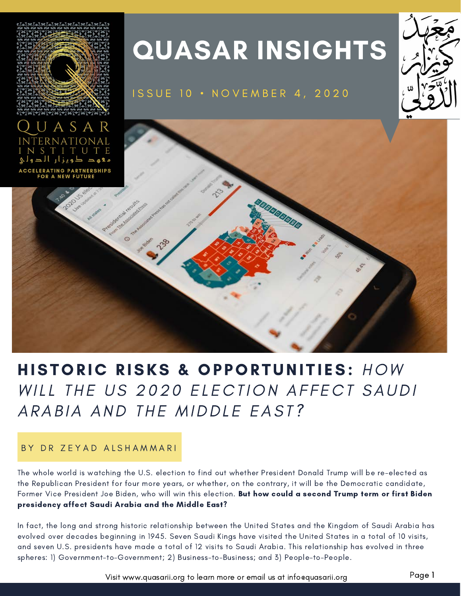

# HISTORIC RISKS & OPPORTUNITIES: HOW WILL THE US 2020 ELECTION AFFECT SAUDI ARABIA AND THE MIDDLE EAST?

#### BY DR ZEYAD ALSHAMMARI

The whole world is watching the U.S. election to find out whether President Donald Trump will be re-elected as the Republican President for four more years, or whether, on the contrary, it will be the Democratic candidate, Former Vice President Joe Biden, who will win this election. But how could a second Trump term or first Biden presidency affect Saudi Arabia and the Middle East?

In fact, the long and strong historic relationship between the United States and the Kingdom of Saudi Arabia has evolved over decades beginning in 1945. Seven Saudi Kings have visited the United States in a total of 10 visits, and seven U.S. presidents have made a total of 12 visits to Saudi Arabia. This relationship has evolved in three spheres: 1) Government-to-Government; 2) Business-to-Business; and 3) People-to-People.

Visit www.quasarii.org to learn more or email us at info@quasarii.org Page 1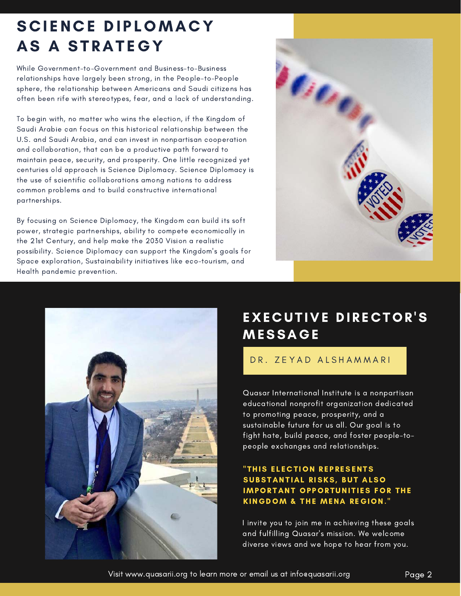## SCIENCE DIPLOMACY AS A STRATEGY

While Government-to-Government and Business-to-Business relationships have largely been strong, in the People-to-People sphere, the relationship between Americans and Saudi citizens has often been rife with stereotypes, fear, and a lack of understanding.

To begin with, no matter who wins the election, if the Kingdom of Saudi Arabie can focus on this historical relationship between the U.S. and Saudi Arabia, and can invest in nonpartisan cooperation and collaboration, that can be a productive path forward to maintain peace, security, and prosperity. One little recognized yet centuries old approach is Science Diplomacy. Science Diplomacy is the use of scientific collaborations among nations to address common problems and to build constructive international partnerships.

By focusing on Science Diplomacy, the Kingdom can build its soft power, strategic partnerships, ability to compete economically in the 21st Century, and help make the 2030 Vision a realistic possibility. Science Diplomacy can support the Kingdom's goals for Space exploration, Sustainability initiatives like eco-tourism, and Health pandemic prevention.





### EXECUTIVE DIRECTOR'S **MESSAGE**

#### DR. ZEYAD ALSHAMMARI

Quasar International Institute is a nonpartisan educational nonprofit organization dedicated to promoting peace, prosperity, and a sustainable future for us all. Our goal is to fight hate, build peace, and foster people-topeople exchanges and relationships.

#### "THIS ELECTION REPRESENTS SUBSTANTIAL RISKS, BUT ALSO **IMPORTANT OPPORTUNITIES FOR THE** KINGDOM & THE MENA REGION."

I invite you to join me in achieving these goals and fulfilling Quasar's mission. We welcome diverse views and we hope to hear from you.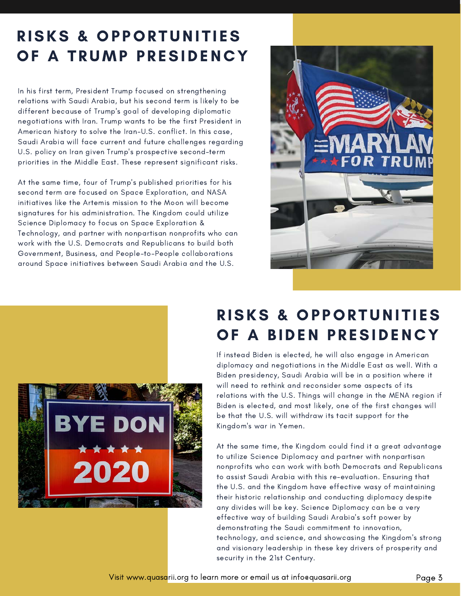# RISKS & OPPORTUNITIES OF A TRUMP PRESIDENCY

In his first term, President Trump focused on strengthening relations with Saudi Arabia, but his second term is likely to be different because of Trump's goal of developing diplomatic negotiations with Iran. Trump wants to be the first President in American history to solve the Iran-U.S. conflict. In this case, Saudi Arabia will face current and future challenges regarding U.S. policy on Iran given Trump's prospective second-term priorities in the Middle East. These represent significant risks.

At the same time, four of Trump's published priorities for his second term are focused on Space Exploration, and NASA initiatives like the Artemis mission to the Moon will become signatures for his administration. The Kingdom could utilize Science Diplomacy to focus on Space Exploration & Technology, and partner with nonpartisan nonprofits who can work with the U.S. Democrats and Republicans to build both Government, Business, and People-to-People collaborations around Space initiatives between Saudi Arabia and the U.S.





# RISKS & OPPORTUNITIES OF A BIDEN PRESIDENCY

relations with the U.S. Things will change in the MENA region if Biden is elected, and most likely, one of the first changes will be that the U.S. will withdraw its tacit support for the Kingdom's war in Yemen. If instead Biden is elected, he will also engage in American diplomacy and negotiations in the Middle East as well. With a Biden presidency, Saudi Arabia will be in a position where it will need to rethink and reconsider some aspects of its

At the same time, the Kingdom could find it a great advantage to utilize Science Diplomacy and partner with nonpartisan nonprofits who can work with both Democrats and Republicans to assist Saudi Arabia with this re-evaluation. Ensuring that the U.S. and the Kingdom have effective wasy of maintaining their historic relationship and conducting diplomacy despite any divides will be key. Science Diplomacy can be a very effective way of building Saudi Arabia's soft power by demonstrating the Saudi commitment to innovation, technology, and science, and showcasing the Kingdom's strong and visionary leadership in these key drivers of prosperity and security in the 21st Century.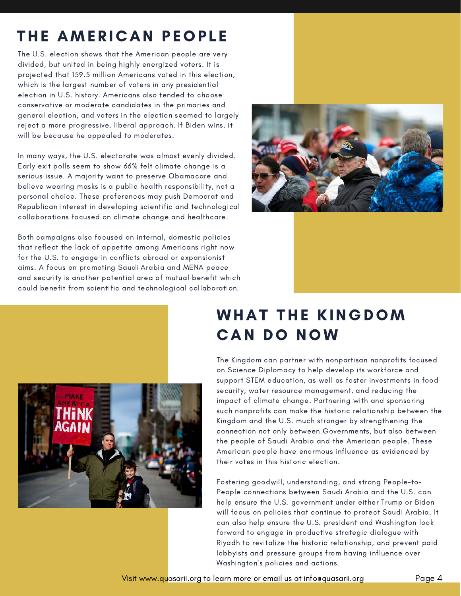# THE AMERICAN PEOPLE

The U.S. election shows that the American people are very divided, but united in being highly energized voters. It is projected that 159.5 million Americans voted in this election, which is the largest number of voters in any presidential election in U.S. history. Americans also tended to choose conservative or moderate candidates in the primaries and general election, and voters in the election seemed to largely reject a more progressive, liberal approach. If Biden wins, it will be because he appealed to moderates.

In many ways, the U.S. electorate was almost evenly divided. Early exit polls seem to show 66% felt climate change is a serious issue. A majority want to preserve Obamacare and believe wearing masks is a public health responsibility, not a personal choice. These preferences may push Democrat and Republican interest in developing scientific and technological collaborations focused on climate change and healthcare.

Both campaigns also focused on internal, domestic policies that reflect the lack of appetite among Americans right now for the U.S. to engage in conflicts abroad or expansionist aims. A focus on promoting Saudi Arabia and MENA peace and security is another potential area of mutual benefit which could benefit from scientific and technological collaboration.



## WHAT THE KINGDOM **CAN DO NOW**



security, water resource management, and reducing the impact of climate change. Partnering with and sponsoring such nonprofits can make the historic relationship between the<br>... kingaom and me 0.9. mach shonger by shengmening me<br>connection not only between Governments, but also between The Kingdom can partner with nonpartisan nonprofits focused on Science Diplomacy to help develop its workforce and support STEM education, as well as foster investments in food Kingdom and the U.S. much stronger by strengthening the the people of Saudi Arabia and the American people. These American people have enormous influence as evidenced by their votes in this historic election.

Fostering goodwill, understanding, and strong People-to-People connections between Saudi Arabia and the U.S. can help ensure the U.S. government under either Trump or Biden will focus on policies that continue to protect Saudi Arabia. It can also help ensure the U.S. president and Washington look forward to engage in productive strategic dialogue with Riyadh to revitalize the historic relationship, and prevent paid lobbyists and pressure groups from having influence over Washington's policies and actions.

Visit www.quasarii.org to learn more or email us at info@quasarii.org Page 4